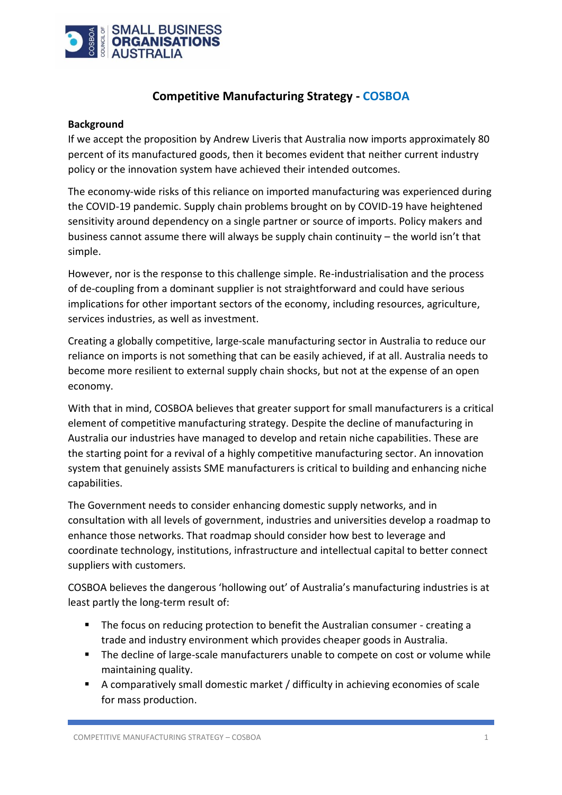

## **Competitive Manufacturing Strategy - COSBOA**

#### **Background**

If we accept the proposition by Andrew Liveris that Australia now imports approximately 80 percent of its manufactured goods, then it becomes evident that neither current industry policy or the innovation system have achieved their intended outcomes.

The economy-wide risks of this reliance on imported manufacturing was experienced during the COVID-19 pandemic. Supply chain problems brought on by COVID-19 have heightened sensitivity around dependency on a single partner or source of imports. Policy makers and business cannot assume there will always be supply chain continuity – the world isn't that simple.

However, nor is the response to this challenge simple. Re-industrialisation and the process of de-coupling from a dominant supplier is not straightforward and could have serious implications for other important sectors of the economy, including resources, agriculture, services industries, as well as investment.

Creating a globally competitive, large-scale manufacturing sector in Australia to reduce our reliance on imports is not something that can be easily achieved, if at all. Australia needs to become more resilient to external supply chain shocks, but not at the expense of an open economy.

With that in mind, COSBOA believes that greater support for small manufacturers is a critical element of competitive manufacturing strategy. Despite the decline of manufacturing in Australia our industries have managed to develop and retain niche capabilities. These are the starting point for a revival of a highly competitive manufacturing sector. An innovation system that genuinely assists SME manufacturers is critical to building and enhancing niche capabilities.

The Government needs to consider enhancing domestic supply networks, and in consultation with all levels of government, industries and universities develop a roadmap to enhance those networks. That roadmap should consider how best to leverage and coordinate technology, institutions, infrastructure and intellectual capital to better connect suppliers with customers.

COSBOA believes the dangerous 'hollowing out' of Australia's manufacturing industries is at least partly the long-term result of:

- The focus on reducing protection to benefit the Australian consumer creating a trade and industry environment which provides cheaper goods in Australia.
- The decline of large-scale manufacturers unable to compete on cost or volume while maintaining quality.
- $\blacksquare$  A comparatively small domestic market / difficulty in achieving economies of scale for mass production.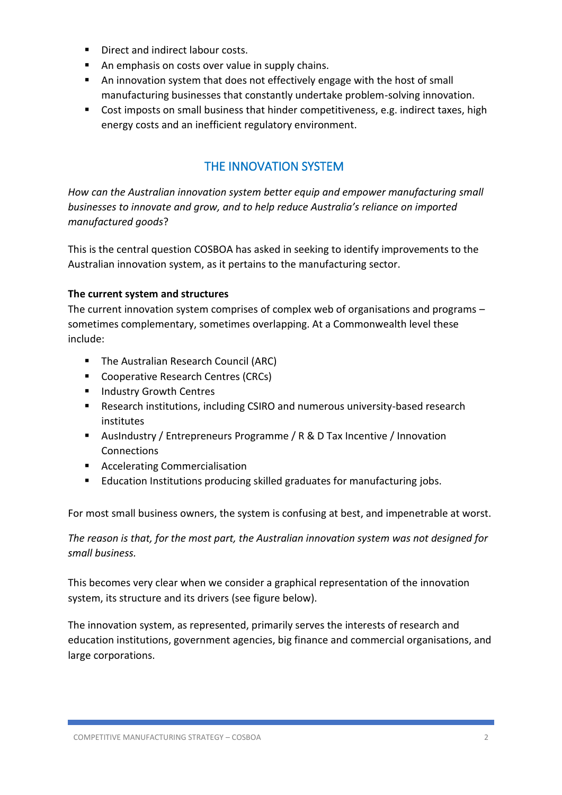- Direct and indirect labour costs.
- An emphasis on costs over value in supply chains.
- An innovation system that does not effectively engage with the host of small manufacturing businesses that constantly undertake problem-solving innovation.
- Cost imposts on small business that hinder competitiveness, e.g. indirect taxes, high energy costs and an inefficient regulatory environment.

# THE INNOVATION SYSTEM

*How can the Australian innovation system better equip and empower manufacturing small businesses to innovate and grow, and to help reduce Australia's reliance on imported manufactured goods*?

This is the central question COSBOA has asked in seeking to identify improvements to the Australian innovation system, as it pertains to the manufacturing sector.

## **The current system and structures**

The current innovation system comprises of complex web of organisations and programs – sometimes complementary, sometimes overlapping. At a Commonwealth level these include:

- The Australian Research Council (ARC)
- Cooperative Research Centres (CRCs)
- Industry Growth Centres
- Research institutions, including CSIRO and numerous university-based research institutes
- AusIndustry / Entrepreneurs Programme / R & D Tax Incentive / Innovation **Connections**
- Accelerating Commercialisation
- Education Institutions producing skilled graduates for manufacturing jobs.

For most small business owners, the system is confusing at best, and impenetrable at worst.

*The reason is that, for the most part, the Australian innovation system was not designed for small business.*

This becomes very clear when we consider a graphical representation of the innovation system, its structure and its drivers (see figure below).

The innovation system, as represented, primarily serves the interests of research and education institutions, government agencies, big finance and commercial organisations, and large corporations.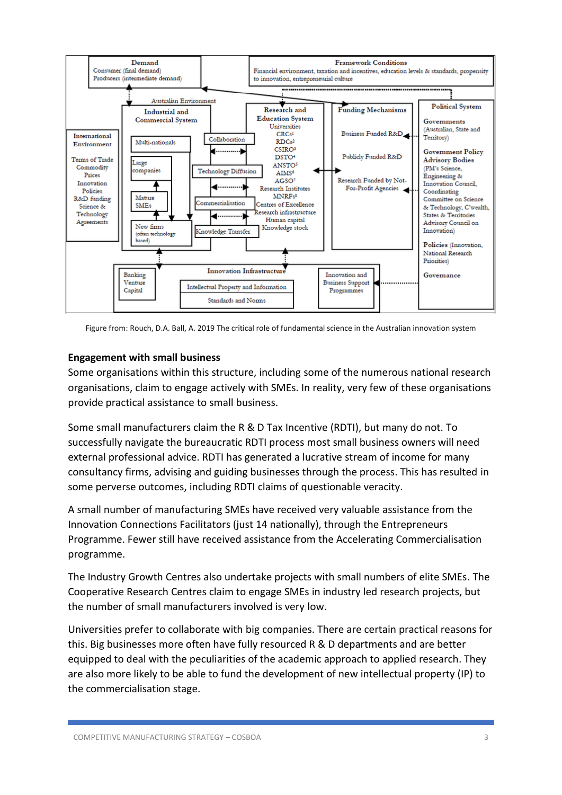

Figure from: Rouch, D.A. Ball, A. 2019 The critical role of fundamental science in the Australian innovation system

#### **Engagement with small business**

Some organisations within this structure, including some of the numerous national research organisations, claim to engage actively with SMEs. In reality, very few of these organisations provide practical assistance to small business.

Some small manufacturers claim the R & D Tax Incentive (RDTI), but many do not. To successfully navigate the bureaucratic RDTI process most small business owners will need external professional advice. RDTI has generated a lucrative stream of income for many consultancy firms, advising and guiding businesses through the process. This has resulted in some perverse outcomes, including RDTI claims of questionable veracity.

A small number of manufacturing SMEs have received very valuable assistance from the Innovation Connections Facilitators (just 14 nationally), through the Entrepreneurs Programme. Fewer still have received assistance from the Accelerating Commercialisation programme.

The Industry Growth Centres also undertake projects with small numbers of elite SMEs. The Cooperative Research Centres claim to engage SMEs in industry led research projects, but the number of small manufacturers involved is very low.

Universities prefer to collaborate with big companies. There are certain practical reasons for this. Big businesses more often have fully resourced R & D departments and are better equipped to deal with the peculiarities of the academic approach to applied research. They are also more likely to be able to fund the development of new intellectual property (IP) to the commercialisation stage.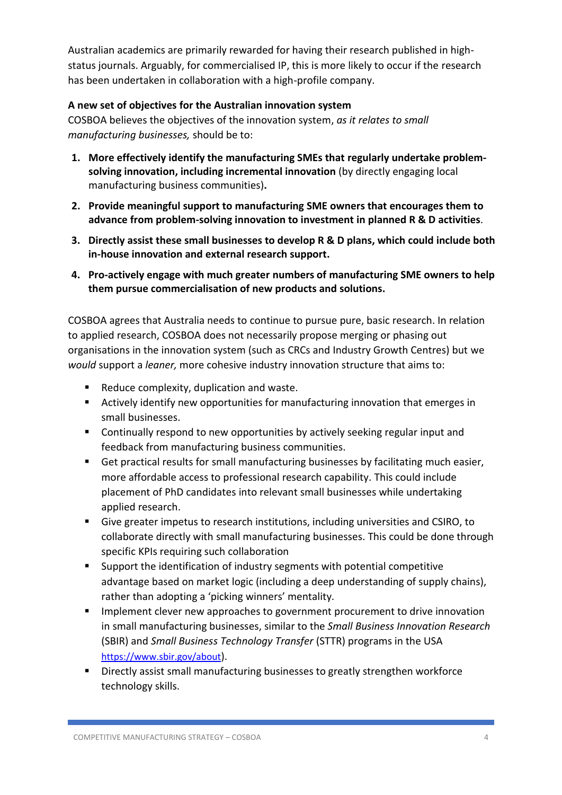Australian academics are primarily rewarded for having their research published in highstatus journals. Arguably, for commercialised IP, this is more likely to occur if the research has been undertaken in collaboration with a high-profile company.

## **A new set of objectives for the Australian innovation system**

COSBOA believes the objectives of the innovation system, *as it relates to small manufacturing businesses,* should be to:

- **1. More effectively identify the manufacturing SMEs that regularly undertake problemsolving innovation, including incremental innovation** (by directly engaging local manufacturing business communities)**.**
- **2. Provide meaningful support to manufacturing SME owners that encourages them to advance from problem-solving innovation to investment in planned R & D activities**.
- **3. Directly assist these small businesses to develop R & D plans, which could include both in-house innovation and external research support.**
- **4. Pro-actively engage with much greater numbers of manufacturing SME owners to help them pursue commercialisation of new products and solutions.**

COSBOA agrees that Australia needs to continue to pursue pure, basic research. In relation to applied research, COSBOA does not necessarily propose merging or phasing out organisations in the innovation system (such as CRCs and Industry Growth Centres) but we *would* support a *leaner,* more cohesive industry innovation structure that aims to:

- Reduce complexity, duplication and waste.
- Actively identify new opportunities for manufacturing innovation that emerges in small businesses.
- Continually respond to new opportunities by actively seeking regular input and feedback from manufacturing business communities.
- Get practical results for small manufacturing businesses by facilitating much easier, more affordable access to professional research capability. This could include placement of PhD candidates into relevant small businesses while undertaking applied research.
- Give greater impetus to research institutions, including universities and CSIRO, to collaborate directly with small manufacturing businesses. This could be done through specific KPIs requiring such collaboration
- Support the identification of industry segments with potential competitive advantage based on market logic (including a deep understanding of supply chains), rather than adopting a 'picking winners' mentality.
- **■** Implement clever new approaches to government procurement to drive innovation in small manufacturing businesses, similar to the *Small Business Innovation Research* (SBIR) and *Small Business Technology Transfer* (STTR) programs in the USA <https://www.sbir.gov/about>).
- Directly assist small manufacturing businesses to greatly strengthen workforce technology skills.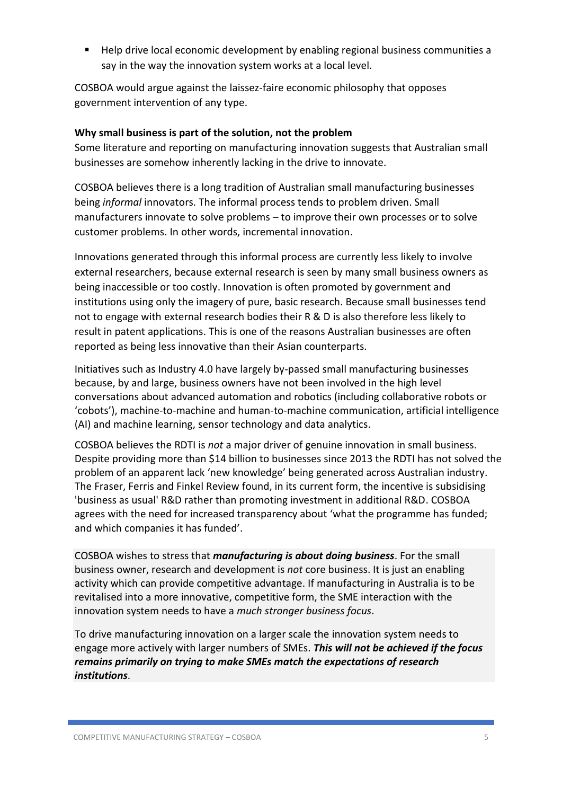▪ Help drive local economic development by enabling regional business communities a say in the way the innovation system works at a local level.

COSBOA would argue against the laissez-faire economic philosophy that opposes government intervention of any type.

### **Why small business is part of the solution, not the problem**

Some literature and reporting on manufacturing innovation suggests that Australian small businesses are somehow inherently lacking in the drive to innovate.

COSBOA believes there is a long tradition of Australian small manufacturing businesses being *informal* innovators. The informal process tends to problem driven. Small manufacturers innovate to solve problems – to improve their own processes or to solve customer problems. In other words, incremental innovation.

Innovations generated through this informal process are currently less likely to involve external researchers, because external research is seen by many small business owners as being inaccessible or too costly. Innovation is often promoted by government and institutions using only the imagery of pure, basic research. Because small businesses tend not to engage with external research bodies their R & D is also therefore less likely to result in patent applications. This is one of the reasons Australian businesses are often reported as being less innovative than their Asian counterparts.

Initiatives such as Industry 4.0 have largely by-passed small manufacturing businesses because, by and large, business owners have not been involved in the high level conversations about advanced automation and robotics (including collaborative robots or 'cobots'), machine-to-machine and human-to-machine communication, artificial intelligence (AI) and machine learning, sensor technology and data analytics.

COSBOA believes the RDTI is *not* a major driver of genuine innovation in small business. Despite providing more than \$14 billion to businesses since 2013 the RDTI has not solved the problem of an apparent lack 'new knowledge' being generated across Australian industry. The Fraser, Ferris and Finkel Review found, in its current form, the incentive is subsidising 'business as usual' R&D rather than promoting investment in additional R&D. COSBOA agrees with the need for increased transparency about 'what the programme has funded; and which companies it has funded'.

COSBOA wishes to stress that *manufacturing is about doing business*. For the small business owner, research and development is *not* core business. It is just an enabling activity which can provide competitive advantage. If manufacturing in Australia is to be revitalised into a more innovative, competitive form, the SME interaction with the innovation system needs to have a *much stronger business focus*.

To drive manufacturing innovation on a larger scale the innovation system needs to engage more actively with larger numbers of SMEs. *This will not be achieved if the focus remains primarily on trying to make SMEs match the expectations of research institutions*.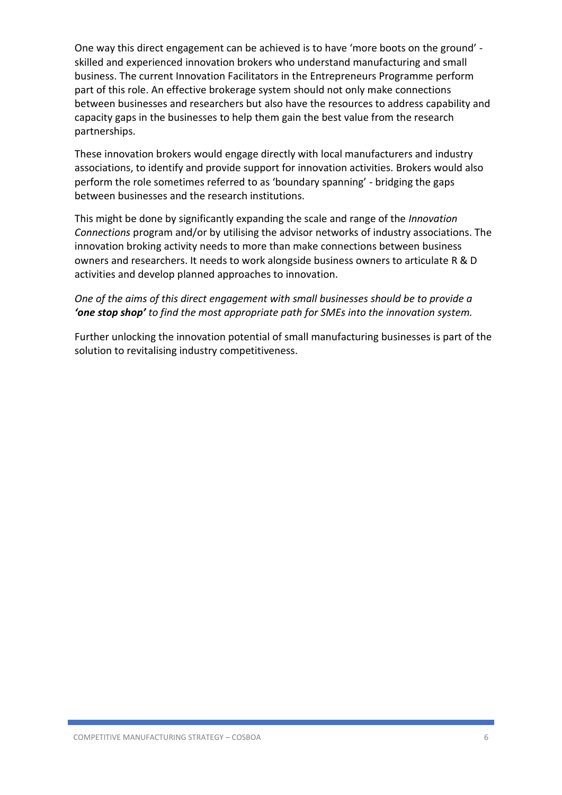One way this direct engagement can be achieved is to have 'more boots on the ground' skilled and experienced innovation brokers who understand manufacturing and small business. The current Innovation Facilitators in the Entrepreneurs Programme perform part of this role. An effective brokerage system should not only make connections between businesses and researchers but also have the resources to address capability and capacity gaps in the businesses to help them gain the best value from the research partnerships.

These innovation brokers would engage directly with local manufacturers and industry associations, to identify and provide support for innovation activities. Brokers would also perform the role sometimes referred to as 'boundary spanning' - bridging the gaps between businesses and the research institutions.

This might be done by significantly expanding the scale and range of the *Innovation Connections* program and/or by utilising the advisor networks of industry associations. The innovation broking activity needs to more than make connections between business owners and researchers. It needs to work alongside business owners to articulate R & D activities and develop planned approaches to innovation.

## *One of the aims of this direct engagement with small businesses should be to provide a 'one stop shop' to find the most appropriate path for SMEs into the innovation system.*

Further unlocking the innovation potential of small manufacturing businesses is part of the solution to revitalising industry competitiveness.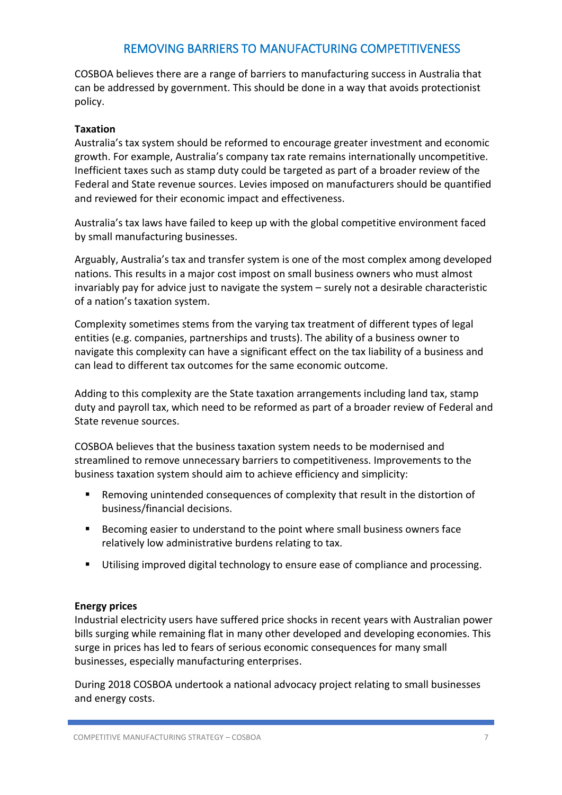## REMOVING BARRIERS TO MANUFACTURING COMPETITIVENESS

COSBOA believes there are a range of barriers to manufacturing success in Australia that can be addressed by government. This should be done in a way that avoids protectionist policy.

#### **Taxation**

Australia's tax system should be reformed to encourage greater investment and economic growth. For example, Australia's company tax rate remains internationally uncompetitive. Inefficient taxes such as stamp duty could be targeted as part of a broader review of the Federal and State revenue sources. Levies imposed on manufacturers should be quantified and reviewed for their economic impact and effectiveness.

Australia's tax laws have failed to keep up with the global competitive environment faced by small manufacturing businesses.

Arguably, Australia's tax and transfer system is one of the most complex among developed nations. This results in a major cost impost on small business owners who must almost invariably pay for advice just to navigate the system – surely not a desirable characteristic of a nation's taxation system.

Complexity sometimes stems from the varying tax treatment of different types of legal entities (e.g. companies, partnerships and trusts). The ability of a business owner to navigate this complexity can have a significant effect on the tax liability of a business and can lead to different tax outcomes for the same economic outcome.

Adding to this complexity are the State taxation arrangements including land tax, stamp duty and payroll tax, which need to be reformed as part of a broader review of Federal and State revenue sources.

COSBOA believes that the business taxation system needs to be modernised and streamlined to remove unnecessary barriers to competitiveness. Improvements to the business taxation system should aim to achieve efficiency and simplicity:

- Removing unintended consequences of complexity that result in the distortion of business/financial decisions.
- Becoming easier to understand to the point where small business owners face relatively low administrative burdens relating to tax.
- Utilising improved digital technology to ensure ease of compliance and processing.

### **Energy prices**

Industrial electricity users have suffered price shocks in recent years with Australian power bills surging while remaining flat in many other developed and developing economies. This surge in prices has led to fears of serious economic consequences for many small businesses, especially manufacturing enterprises.

During 2018 COSBOA undertook a national advocacy project relating to small businesses and energy costs.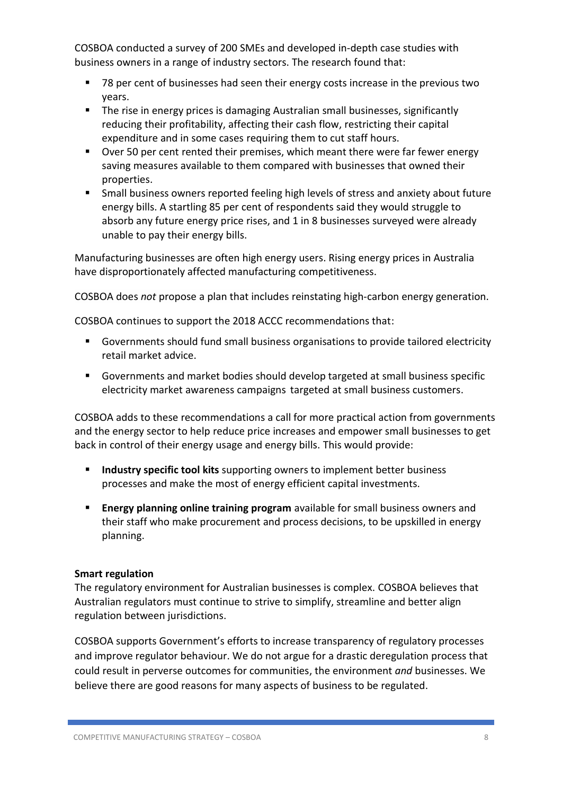COSBOA conducted a survey of 200 SMEs and developed in-depth case studies with business owners in a range of industry sectors. The research found that:

- 78 per cent of businesses had seen their energy costs increase in the previous two years.
- **The rise in energy prices is damaging Australian small businesses, significantly** reducing their profitability, affecting their cash flow, restricting their capital expenditure and in some cases requiring them to cut staff hours.
- Over 50 per cent rented their premises, which meant there were far fewer energy saving measures available to them compared with businesses that owned their properties.
- Small business owners reported feeling high levels of stress and anxiety about future energy bills. A startling 85 per cent of respondents said they would struggle to absorb any future energy price rises, and 1 in 8 businesses surveyed were already unable to pay their energy bills.

Manufacturing businesses are often high energy users. Rising energy prices in Australia have disproportionately affected manufacturing competitiveness.

COSBOA does *not* propose a plan that includes reinstating high-carbon energy generation.

COSBOA continues to support the 2018 ACCC recommendations that:

- Governments should fund small business organisations to provide tailored electricity retail market advice.
- Governments and market bodies should develop targeted at small business specific electricity market awareness campaigns targeted at small business customers.

COSBOA adds to these recommendations a call for more practical action from governments and the energy sector to help reduce price increases and empower small businesses to get back in control of their energy usage and energy bills. This would provide:

- **EXP** Industry specific tool kits supporting owners to implement better business processes and make the most of energy efficient capital investments.
- **Energy planning online training program** available for small business owners and their staff who make procurement and process decisions, to be upskilled in energy planning.

#### **Smart regulation**

The regulatory environment for Australian businesses is complex. COSBOA believes that Australian regulators must continue to strive to simplify, streamline and better align regulation between jurisdictions.

COSBOA supports Government's efforts to increase transparency of regulatory processes and improve regulator behaviour. We do not argue for a drastic deregulation process that could result in perverse outcomes for communities, the environment *and* businesses. We believe there are good reasons for many aspects of business to be regulated.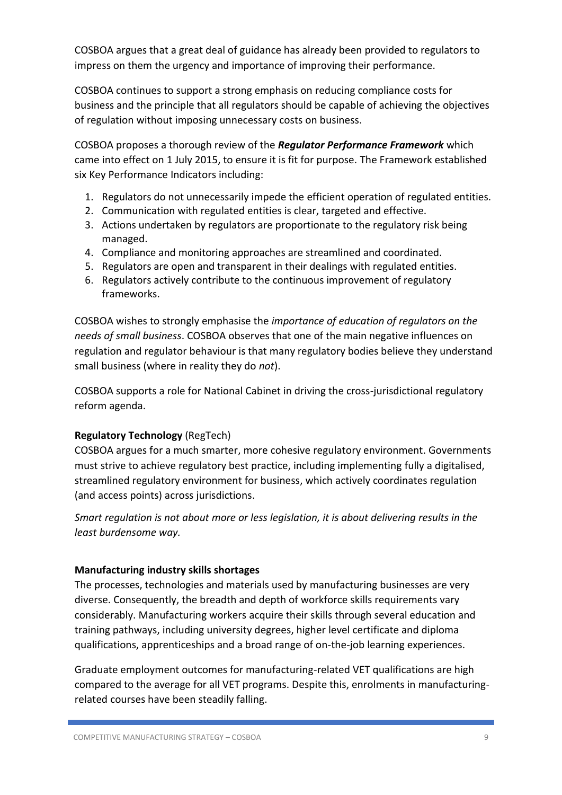COSBOA argues that a great deal of guidance has already been provided to regulators to impress on them the urgency and importance of improving their performance.

COSBOA continues to support a strong emphasis on reducing compliance costs for business and the principle that all regulators should be capable of achieving the objectives of regulation without imposing unnecessary costs on business.

COSBOA proposes a thorough review of the *Regulator Performance Framework* which came into effect on 1 July 2015, to ensure it is fit for purpose. The Framework established six Key Performance Indicators including:

- 1. Regulators do not unnecessarily impede the efficient operation of regulated entities.
- 2. Communication with regulated entities is clear, targeted and effective.
- 3. Actions undertaken by regulators are proportionate to the regulatory risk being managed.
- 4. Compliance and monitoring approaches are streamlined and coordinated.
- 5. Regulators are open and transparent in their dealings with regulated entities.
- 6. Regulators actively contribute to the continuous improvement of regulatory frameworks.

COSBOA wishes to strongly emphasise the *importance of education of regulators on the needs of small business*. COSBOA observes that one of the main negative influences on regulation and regulator behaviour is that many regulatory bodies believe they understand small business (where in reality they do *not*).

COSBOA supports a role for National Cabinet in driving the cross-jurisdictional regulatory reform agenda.

## **Regulatory Technology** (RegTech)

COSBOA argues for a much smarter, more cohesive regulatory environment. Governments must strive to achieve regulatory best practice, including implementing fully a digitalised, streamlined regulatory environment for business, which actively coordinates regulation (and access points) across jurisdictions.

*Smart regulation is not about more or less legislation, it is about delivering results in the least burdensome way.*

### **Manufacturing industry skills shortages**

The processes, technologies and materials used by manufacturing businesses are very diverse. Consequently, the breadth and depth of workforce skills requirements vary considerably. Manufacturing workers acquire their skills through several education and training pathways, including university degrees, higher level certificate and diploma qualifications, apprenticeships and a broad range of on-the-job learning experiences.

Graduate employment outcomes for manufacturing-related VET qualifications are high compared to the average for all VET programs. Despite this, enrolments in manufacturingrelated courses have been steadily falling.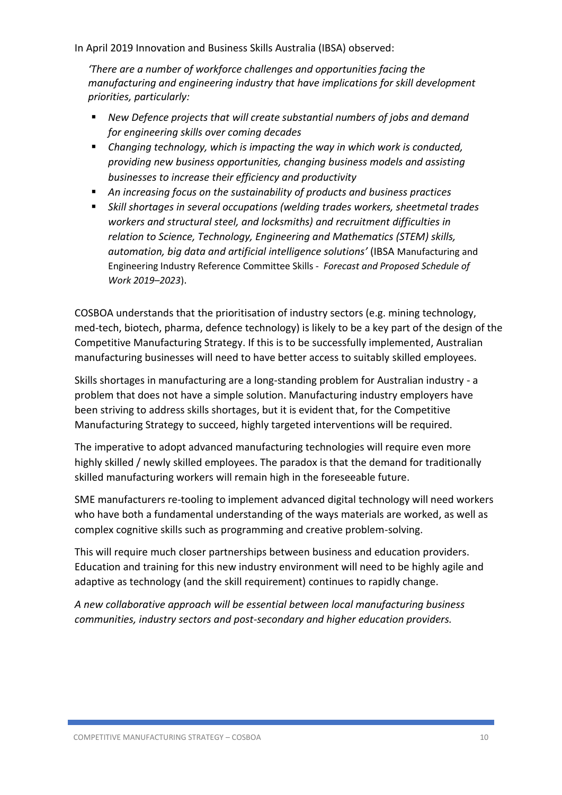In April 2019 Innovation and Business Skills Australia (IBSA) observed:

*'There are a number of workforce challenges and opportunities facing the manufacturing and engineering industry that have implications for skill development priorities, particularly:* 

- *New Defence projects that will create substantial numbers of jobs and demand for engineering skills over coming decades*
- *Changing technology, which is impacting the way in which work is conducted, providing new business opportunities, changing business models and assisting businesses to increase their efficiency and productivity*
- An increasing focus on the sustainability of products and business practices
- Skill shortages in several occupations (welding trades workers, sheetmetal trades *workers and structural steel, and locksmiths) and recruitment difficulties in relation to Science, Technology, Engineering and Mathematics (STEM) skills, automation, big data and artificial intelligence solutions'* (IBSA Manufacturing and Engineering Industry Reference Committee Skills - *Forecast and Proposed Schedule of Work 2019–2023*).

COSBOA understands that the prioritisation of industry sectors (e.g. mining technology, med-tech, biotech, pharma, defence technology) is likely to be a key part of the design of the Competitive Manufacturing Strategy. If this is to be successfully implemented, Australian manufacturing businesses will need to have better access to suitably skilled employees.

Skills shortages in manufacturing are a long-standing problem for Australian industry - a problem that does not have a simple solution. Manufacturing industry employers have been striving to address skills shortages, but it is evident that, for the Competitive Manufacturing Strategy to succeed, highly targeted interventions will be required.

The imperative to adopt advanced manufacturing technologies will require even more highly skilled / newly skilled employees. The paradox is that the demand for traditionally skilled manufacturing workers will remain high in the foreseeable future.

SME manufacturers re-tooling to implement advanced digital technology will need workers who have both a fundamental understanding of the ways materials are worked, as well as complex cognitive skills such as programming and creative problem-solving.

This will require much closer partnerships between business and education providers. Education and training for this new industry environment will need to be highly agile and adaptive as technology (and the skill requirement) continues to rapidly change.

*A new collaborative approach will be essential between local manufacturing business communities, industry sectors and post-secondary and higher education providers.*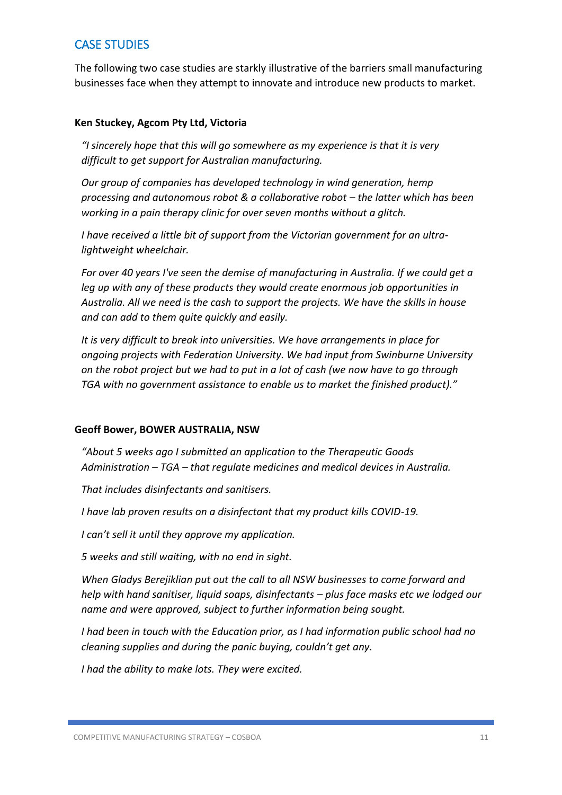# CASE STUDIES

The following two case studies are starkly illustrative of the barriers small manufacturing businesses face when they attempt to innovate and introduce new products to market.

#### **Ken Stuckey, Agcom Pty Ltd, Victoria**

*"I sincerely hope that this will go somewhere as my experience is that it is very difficult to get support for Australian manufacturing.*

*Our group of companies has developed technology in wind generation, hemp processing and autonomous robot & a collaborative robot – the latter which has been working in a pain therapy clinic for over seven months without a glitch.* 

*I have received a little bit of support from the Victorian government for an ultralightweight wheelchair.* 

*For over 40 years I've seen the demise of manufacturing in Australia. If we could get a leg up with any of these products they would create enormous job opportunities in Australia. All we need is the cash to support the projects. We have the skills in house and can add to them quite quickly and easily.*

*It is very difficult to break into universities. We have arrangements in place for ongoing projects with Federation University. We had input from Swinburne University on the robot project but we had to put in a lot of cash (we now have to go through TGA with no government assistance to enable us to market the finished product)."*

#### **Geoff Bower, BOWER AUSTRALIA, NSW**

*"About 5 weeks ago I submitted an application to the Therapeutic Goods Administration – TGA – that regulate medicines and medical devices in Australia.*

*That includes disinfectants and sanitisers.*

*I have lab proven results on a disinfectant that my product kills COVID-19.*

*I can't sell it until they approve my application.*

*5 weeks and still waiting, with no end in sight.*

*When Gladys Berejiklian put out the call to all NSW businesses to come forward and help with hand sanitiser, liquid soaps, disinfectants – plus face masks etc we lodged our name and were approved, subject to further information being sought.*

*I had been in touch with the Education prior, as I had information public school had no cleaning supplies and during the panic buying, couldn't get any.*

*I had the ability to make lots. They were excited.*